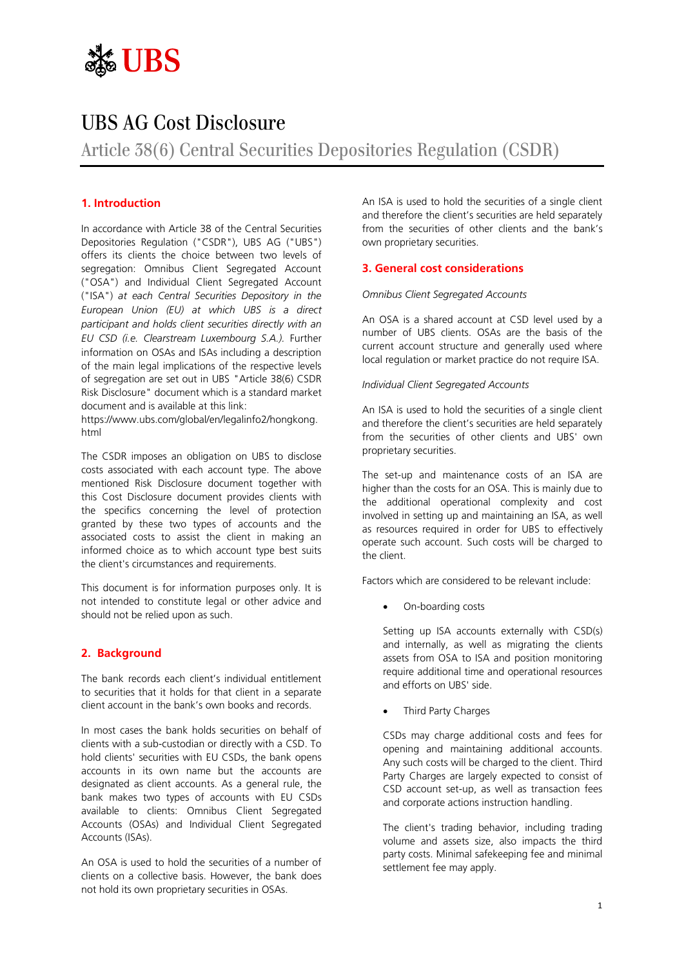

# UBS AG Cost Disclosure

Article 38(6) Central Securities Depositories Regulation (CSDR)

## **1. Introduction**

In accordance with Article 38 of the Central Securities Depositories Regulation ("CSDR"), UBS AG ("UBS") offers its clients the choice between two levels of segregation: Omnibus Client Segregated Account ("OSA") and Individual Client Segregated Account ("ISA") *at each Central Securities Depository in the European Union (EU) at which UBS is a direct participant and holds client securities directly with an EU CSD (i.e. Clearstream Luxembourg S.A.).* Further information on OSAs and ISAs including a description of the main legal implications of the respective levels of segregation are set out in UBS "Article 38(6) CSDR Risk Disclosure" document which is a standard market document and is available at this link:

https://www.ubs.com/global/en/legalinfo2/hongkong. html

The CSDR imposes an obligation on UBS to disclose costs associated with each account type. The above mentioned Risk Disclosure document together with this Cost Disclosure document provides clients with the specifics concerning the level of protection granted by these two types of accounts and the associated costs to assist the client in making an informed choice as to which account type best suits the client's circumstances and requirements.

This document is for information purposes only. It is not intended to constitute legal or other advice and should not be relied upon as such.

## **2. Background**

The bank records each client's individual entitlement to securities that it holds for that client in a separate client account in the bank's own books and records.

In most cases the bank holds securities on behalf of clients with a sub-custodian or directly with a CSD. To hold clients' securities with EU CSDs, the bank opens accounts in its own name but the accounts are designated as client accounts. As a general rule, the bank makes two types of accounts with EU CSDs available to clients: Omnibus Client Segregated Accounts (OSAs) and Individual Client Segregated Accounts (ISAs).

An OSA is used to hold the securities of a number of clients on a collective basis. However, the bank does not hold its own proprietary securities in OSAs.

An ISA is used to hold the securities of a single client and therefore the client's securities are held separately from the securities of other clients and the bank's own proprietary securities.

### **3. General cost considerations**

#### *Omnibus Client Segregated Accounts*

An OSA is a shared account at CSD level used by a number of UBS clients. OSAs are the basis of the current account structure and generally used where local regulation or market practice do not require ISA.

#### *Individual Client Segregated Accounts*

An ISA is used to hold the securities of a single client and therefore the client's securities are held separately from the securities of other clients and UBS' own proprietary securities.

The set-up and maintenance costs of an ISA are higher than the costs for an OSA. This is mainly due to the additional operational complexity and cost involved in setting up and maintaining an ISA, as well as resources required in order for UBS to effectively operate such account. Such costs will be charged to the client.

Factors which are considered to be relevant include:

• On-boarding costs

Setting up ISA accounts externally with CSD(s) and internally, as well as migrating the clients assets from OSA to ISA and position monitoring require additional time and operational resources and efforts on UBS' side.

• Third Party Charges

CSDs may charge additional costs and fees for opening and maintaining additional accounts. Any such costs will be charged to the client. Third Party Charges are largely expected to consist of CSD account set-up, as well as transaction fees and corporate actions instruction handling.

The client's trading behavior, including trading volume and assets size, also impacts the third party costs. Minimal safekeeping fee and minimal settlement fee may apply.